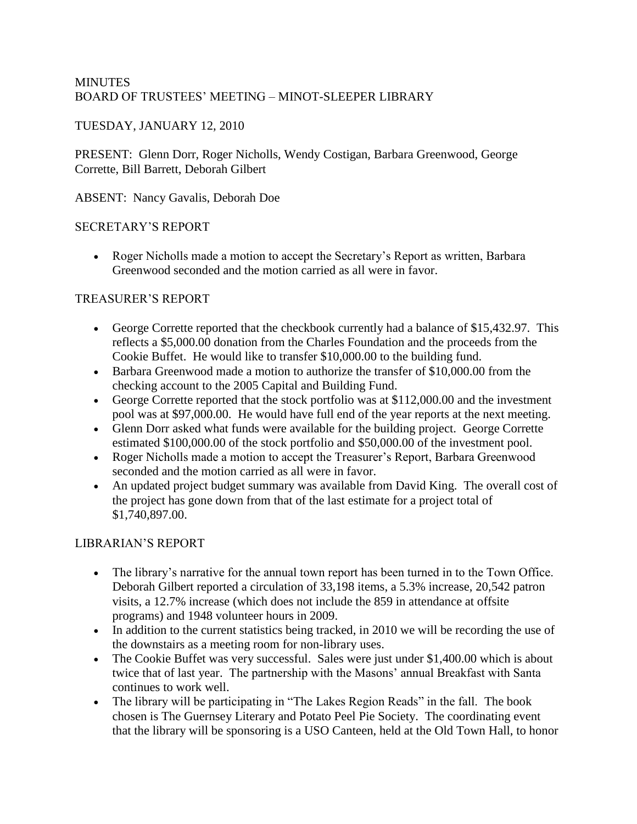## **MINUTES** BOARD OF TRUSTEES' MEETING – MINOT-SLEEPER LIBRARY

# TUESDAY, JANUARY 12, 2010

PRESENT: Glenn Dorr, Roger Nicholls, Wendy Costigan, Barbara Greenwood, George Corrette, Bill Barrett, Deborah Gilbert

ABSENT: Nancy Gavalis, Deborah Doe

## SECRETARY'S REPORT

• Roger Nicholls made a motion to accept the Secretary's Report as written, Barbara Greenwood seconded and the motion carried as all were in favor.

# TREASURER'S REPORT

- George Corrette reported that the checkbook currently had a balance of \$15,432.97. This reflects a \$5,000.00 donation from the Charles Foundation and the proceeds from the Cookie Buffet. He would like to transfer \$10,000.00 to the building fund.
- Barbara Greenwood made a motion to authorize the transfer of \$10,000.00 from the checking account to the 2005 Capital and Building Fund.
- George Corrette reported that the stock portfolio was at \$112,000.00 and the investment pool was at \$97,000.00. He would have full end of the year reports at the next meeting.
- Glenn Dorr asked what funds were available for the building project. George Corrette estimated \$100,000.00 of the stock portfolio and \$50,000.00 of the investment pool.
- Roger Nicholls made a motion to accept the Treasurer's Report, Barbara Greenwood seconded and the motion carried as all were in favor.
- An updated project budget summary was available from David King. The overall cost of the project has gone down from that of the last estimate for a project total of \$1,740,897.00.

# LIBRARIAN'S REPORT

- The library's narrative for the annual town report has been turned in to the Town Office. Deborah Gilbert reported a circulation of 33,198 items, a 5.3% increase, 20,542 patron visits, a 12.7% increase (which does not include the 859 in attendance at offsite programs) and 1948 volunteer hours in 2009.
- In addition to the current statistics being tracked, in 2010 we will be recording the use of the downstairs as a meeting room for non-library uses.
- The Cookie Buffet was very successful. Sales were just under \$1,400.00 which is about twice that of last year. The partnership with the Masons' annual Breakfast with Santa continues to work well.
- The library will be participating in "The Lakes Region Reads" in the fall. The book chosen is The Guernsey Literary and Potato Peel Pie Society. The coordinating event that the library will be sponsoring is a USO Canteen, held at the Old Town Hall, to honor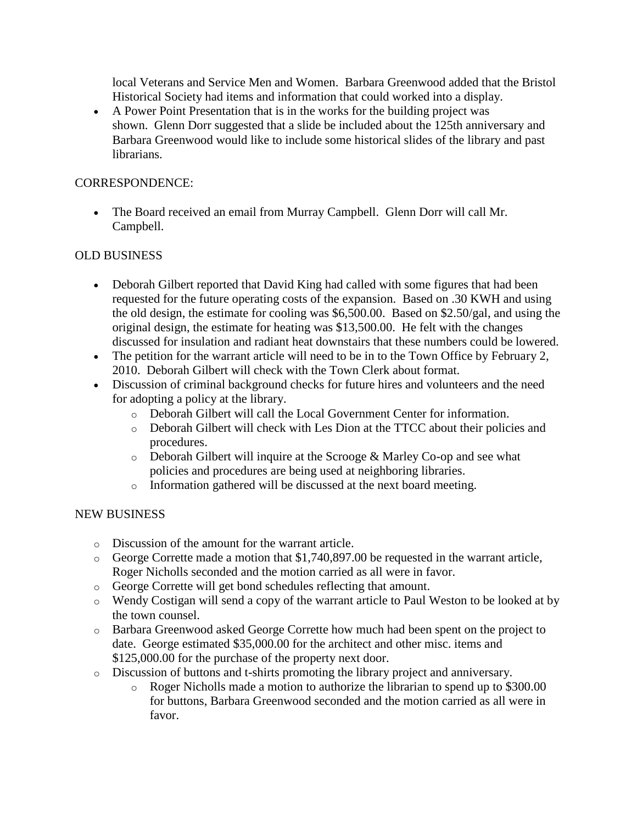local Veterans and Service Men and Women. Barbara Greenwood added that the Bristol Historical Society had items and information that could worked into a display.

• A Power Point Presentation that is in the works for the building project was shown. Glenn Dorr suggested that a slide be included about the 125th anniversary and Barbara Greenwood would like to include some historical slides of the library and past librarians.

### CORRESPONDENCE:

• The Board received an email from Murray Campbell. Glenn Dorr will call Mr. Campbell.

### OLD BUSINESS

- Deborah Gilbert reported that David King had called with some figures that had been requested for the future operating costs of the expansion. Based on .30 KWH and using the old design, the estimate for cooling was \$6,500.00. Based on \$2.50/gal, and using the original design, the estimate for heating was \$13,500.00. He felt with the changes discussed for insulation and radiant heat downstairs that these numbers could be lowered.
- The petition for the warrant article will need to be in to the Town Office by February 2, 2010. Deborah Gilbert will check with the Town Clerk about format.
- Discussion of criminal background checks for future hires and volunteers and the need for adopting a policy at the library.
	- o Deborah Gilbert will call the Local Government Center for information.
	- o Deborah Gilbert will check with Les Dion at the TTCC about their policies and procedures.
	- o Deborah Gilbert will inquire at the Scrooge & Marley Co-op and see what policies and procedures are being used at neighboring libraries.
	- o Information gathered will be discussed at the next board meeting.

#### NEW BUSINESS

- o Discussion of the amount for the warrant article.
- o George Corrette made a motion that \$1,740,897.00 be requested in the warrant article, Roger Nicholls seconded and the motion carried as all were in favor.
- o George Corrette will get bond schedules reflecting that amount.
- o Wendy Costigan will send a copy of the warrant article to Paul Weston to be looked at by the town counsel.
- o Barbara Greenwood asked George Corrette how much had been spent on the project to date. George estimated \$35,000.00 for the architect and other misc. items and \$125,000.00 for the purchase of the property next door.
- o Discussion of buttons and t-shirts promoting the library project and anniversary.
	- o Roger Nicholls made a motion to authorize the librarian to spend up to \$300.00 for buttons, Barbara Greenwood seconded and the motion carried as all were in favor.